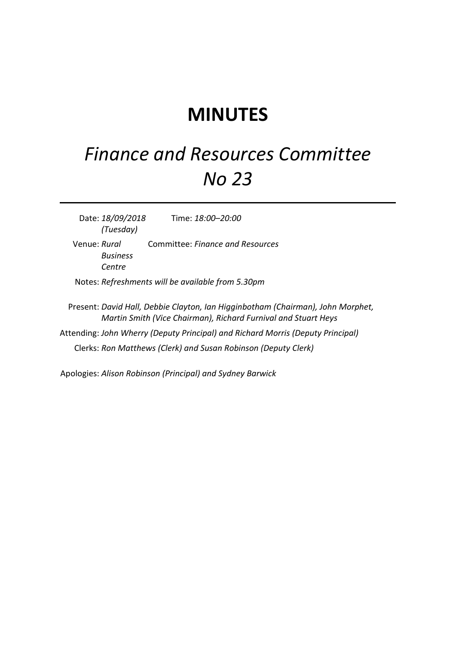## **MINUTES**

## *Finance and Resources Committee No 23*

Date: *18/09/2018 (Tuesday)* Time: *18:00–20:00* Venue: *Rural Business Centre* Committee: *Finance and Resources* Notes: *Refreshments will be available from 5.30pm* Present: *David Hall, Debbie Clayton, Ian Higginbotham (Chairman), John Morphet, Martin Smith (Vice Chairman), Richard Furnival and Stuart Heys*

Attending: *John Wherry (Deputy Principal) and Richard Morris (Deputy Principal)* Clerks: *Ron Matthews (Clerk) and Susan Robinson (Deputy Clerk)*

Apologies: *Alison Robinson (Principal) and Sydney Barwick*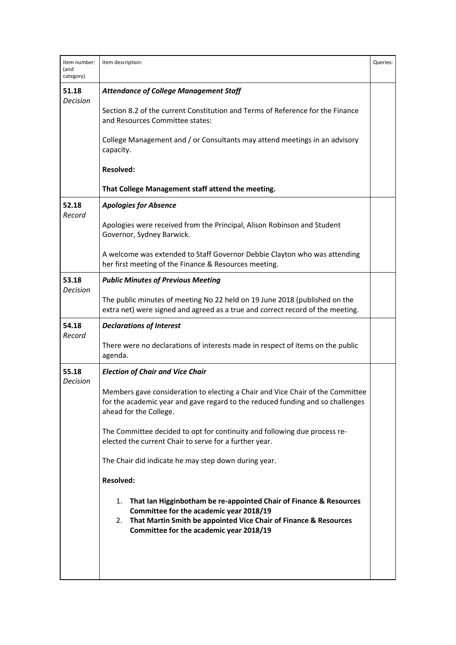| Item number:<br>(and<br>category) | Item description:                                                                                                                                                                                                                        | Queries: |
|-----------------------------------|------------------------------------------------------------------------------------------------------------------------------------------------------------------------------------------------------------------------------------------|----------|
| 51.18<br>Decision                 | <b>Attendance of College Management Staff</b>                                                                                                                                                                                            |          |
|                                   | Section 8.2 of the current Constitution and Terms of Reference for the Finance<br>and Resources Committee states:                                                                                                                        |          |
|                                   | College Management and / or Consultants may attend meetings in an advisory<br>capacity.                                                                                                                                                  |          |
|                                   | <b>Resolved:</b>                                                                                                                                                                                                                         |          |
|                                   | That College Management staff attend the meeting.                                                                                                                                                                                        |          |
| 52.18<br>Record                   | <b>Apologies for Absence</b>                                                                                                                                                                                                             |          |
|                                   | Apologies were received from the Principal, Alison Robinson and Student<br>Governor, Sydney Barwick.                                                                                                                                     |          |
|                                   | A welcome was extended to Staff Governor Debbie Clayton who was attending<br>her first meeting of the Finance & Resources meeting.                                                                                                       |          |
| 53.18<br><b>Decision</b>          | <b>Public Minutes of Previous Meeting</b>                                                                                                                                                                                                |          |
|                                   | The public minutes of meeting No 22 held on 19 June 2018 (published on the<br>extra net) were signed and agreed as a true and correct record of the meeting.                                                                             |          |
| 54.18<br>Record                   | <b>Declarations of Interest</b>                                                                                                                                                                                                          |          |
|                                   | There were no declarations of interests made in respect of items on the public<br>agenda.                                                                                                                                                |          |
| 55.18<br><b>Decision</b>          | <b>Election of Chair and Vice Chair</b>                                                                                                                                                                                                  |          |
|                                   | Members gave consideration to electing a Chair and Vice Chair of the Committee<br>for the academic year and gave regard to the reduced funding and so challenges<br>ahead for the College.                                               |          |
|                                   | The Committee decided to opt for continuity and following due process re-<br>elected the current Chair to serve for a further year.                                                                                                      |          |
|                                   | The Chair did indicate he may step down during year.                                                                                                                                                                                     |          |
|                                   | <b>Resolved:</b>                                                                                                                                                                                                                         |          |
|                                   | That Ian Higginbotham be re-appointed Chair of Finance & Resources<br>1.<br>Committee for the academic year 2018/19<br>That Martin Smith be appointed Vice Chair of Finance & Resources<br>2.<br>Committee for the academic year 2018/19 |          |
|                                   |                                                                                                                                                                                                                                          |          |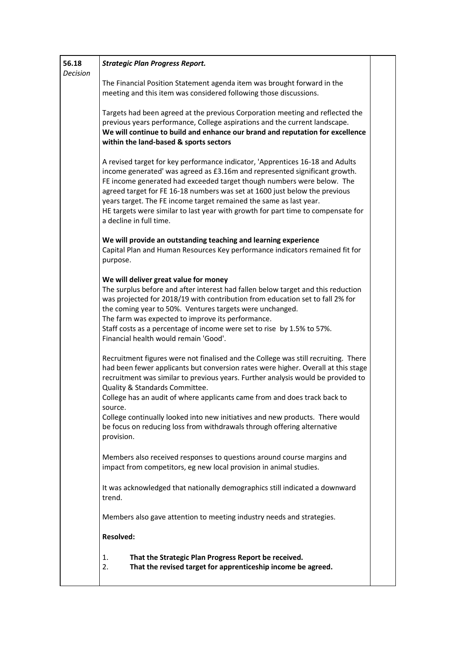| 56.18<br><b>Decision</b> | <b>Strategic Plan Progress Report.</b>                                                                                                                                                                                                                                                                                                                                                                                                                                                                   |  |
|--------------------------|----------------------------------------------------------------------------------------------------------------------------------------------------------------------------------------------------------------------------------------------------------------------------------------------------------------------------------------------------------------------------------------------------------------------------------------------------------------------------------------------------------|--|
|                          | The Financial Position Statement agenda item was brought forward in the<br>meeting and this item was considered following those discussions.                                                                                                                                                                                                                                                                                                                                                             |  |
|                          | Targets had been agreed at the previous Corporation meeting and reflected the<br>previous years performance, College aspirations and the current landscape.<br>We will continue to build and enhance our brand and reputation for excellence<br>within the land-based & sports sectors                                                                                                                                                                                                                   |  |
|                          | A revised target for key performance indicator, 'Apprentices 16-18 and Adults<br>income generated' was agreed as £3.16m and represented significant growth.<br>FE income generated had exceeded target though numbers were below. The<br>agreed target for FE 16-18 numbers was set at 1600 just below the previous<br>years target. The FE income target remained the same as last year.<br>HE targets were similar to last year with growth for part time to compensate for<br>a decline in full time. |  |
|                          | We will provide an outstanding teaching and learning experience<br>Capital Plan and Human Resources Key performance indicators remained fit for<br>purpose.                                                                                                                                                                                                                                                                                                                                              |  |
|                          | We will deliver great value for money<br>The surplus before and after interest had fallen below target and this reduction<br>was projected for 2018/19 with contribution from education set to fall 2% for<br>the coming year to 50%. Ventures targets were unchanged.<br>The farm was expected to improve its performance.<br>Staff costs as a percentage of income were set to rise by 1.5% to 57%.<br>Financial health would remain 'Good'.                                                           |  |
|                          | Recruitment figures were not finalised and the College was still recruiting. There<br>had been fewer applicants but conversion rates were higher. Overall at this stage<br>recruitment was similar to previous years. Further analysis would be provided to<br>Quality & Standards Committee.<br>College has an audit of where applicants came from and does track back to<br>source.<br>College continually looked into new initiatives and new products. There would                                   |  |
|                          | be focus on reducing loss from withdrawals through offering alternative<br>provision.                                                                                                                                                                                                                                                                                                                                                                                                                    |  |
|                          | Members also received responses to questions around course margins and<br>impact from competitors, eg new local provision in animal studies.                                                                                                                                                                                                                                                                                                                                                             |  |
|                          | It was acknowledged that nationally demographics still indicated a downward<br>trend.                                                                                                                                                                                                                                                                                                                                                                                                                    |  |
|                          | Members also gave attention to meeting industry needs and strategies.                                                                                                                                                                                                                                                                                                                                                                                                                                    |  |
|                          | <b>Resolved:</b>                                                                                                                                                                                                                                                                                                                                                                                                                                                                                         |  |
|                          | That the Strategic Plan Progress Report be received.<br>1.<br>That the revised target for apprenticeship income be agreed.<br>2.                                                                                                                                                                                                                                                                                                                                                                         |  |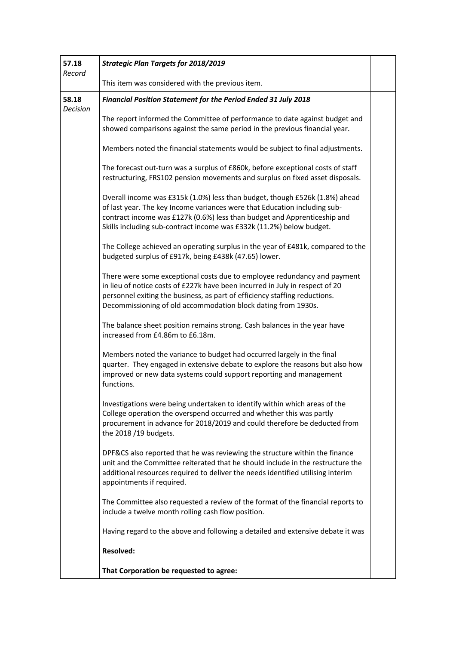| 57.18<br>Record          | <b>Strategic Plan Targets for 2018/2019</b>                                                                                                                                                                                                                                                                  |  |
|--------------------------|--------------------------------------------------------------------------------------------------------------------------------------------------------------------------------------------------------------------------------------------------------------------------------------------------------------|--|
|                          | This item was considered with the previous item.                                                                                                                                                                                                                                                             |  |
| 58.18<br><b>Decision</b> | <b>Financial Position Statement for the Period Ended 31 July 2018</b>                                                                                                                                                                                                                                        |  |
|                          | The report informed the Committee of performance to date against budget and<br>showed comparisons against the same period in the previous financial year.                                                                                                                                                    |  |
|                          | Members noted the financial statements would be subject to final adjustments.                                                                                                                                                                                                                                |  |
|                          | The forecast out-turn was a surplus of £860k, before exceptional costs of staff<br>restructuring, FRS102 pension movements and surplus on fixed asset disposals.                                                                                                                                             |  |
|                          | Overall income was £315k (1.0%) less than budget, though £526k (1.8%) ahead<br>of last year. The key Income variances were that Education including sub-<br>contract income was £127k (0.6%) less than budget and Apprenticeship and<br>Skills including sub-contract income was £332k (11.2%) below budget. |  |
|                          | The College achieved an operating surplus in the year of £481k, compared to the<br>budgeted surplus of £917k, being £438k (47.65) lower.                                                                                                                                                                     |  |
|                          | There were some exceptional costs due to employee redundancy and payment<br>in lieu of notice costs of £227k have been incurred in July in respect of 20<br>personnel exiting the business, as part of efficiency staffing reductions.<br>Decommissioning of old accommodation block dating from 1930s.      |  |
|                          | The balance sheet position remains strong. Cash balances in the year have<br>increased from £4.86m to £6.18m.                                                                                                                                                                                                |  |
|                          | Members noted the variance to budget had occurred largely in the final<br>quarter. They engaged in extensive debate to explore the reasons but also how<br>improved or new data systems could support reporting and management<br>functions.                                                                 |  |
|                          | Investigations were being undertaken to identify within which areas of the<br>College operation the overspend occurred and whether this was partly<br>procurement in advance for 2018/2019 and could therefore be deducted from<br>the 2018 /19 budgets.                                                     |  |
|                          | DPF&CS also reported that he was reviewing the structure within the finance<br>unit and the Committee reiterated that he should include in the restructure the<br>additional resources required to deliver the needs identified utilising interim<br>appointments if required.                               |  |
|                          | The Committee also requested a review of the format of the financial reports to<br>include a twelve month rolling cash flow position.                                                                                                                                                                        |  |
|                          | Having regard to the above and following a detailed and extensive debate it was                                                                                                                                                                                                                              |  |
|                          | <b>Resolved:</b>                                                                                                                                                                                                                                                                                             |  |
|                          | That Corporation be requested to agree:                                                                                                                                                                                                                                                                      |  |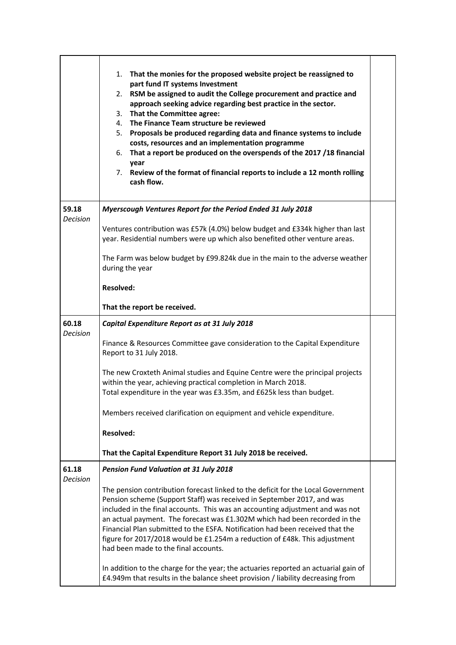|                          | That the monies for the proposed website project be reassigned to<br>1.<br>part fund IT systems Investment<br>RSM be assigned to audit the College procurement and practice and<br>2.<br>approach seeking advice regarding best practice in the sector.<br>That the Committee agree:<br>3.<br>The Finance Team structure be reviewed<br>4.<br>5. Proposals be produced regarding data and finance systems to include<br>costs, resources and an implementation programme<br>That a report be produced on the overspends of the 2017 /18 financial<br>6.<br>year<br>7. Review of the format of financial reports to include a 12 month rolling<br>cash flow. |  |
|--------------------------|-------------------------------------------------------------------------------------------------------------------------------------------------------------------------------------------------------------------------------------------------------------------------------------------------------------------------------------------------------------------------------------------------------------------------------------------------------------------------------------------------------------------------------------------------------------------------------------------------------------------------------------------------------------|--|
| 59.18<br><b>Decision</b> | Myerscough Ventures Report for the Period Ended 31 July 2018                                                                                                                                                                                                                                                                                                                                                                                                                                                                                                                                                                                                |  |
|                          | Ventures contribution was £57k (4.0%) below budget and £334k higher than last<br>year. Residential numbers were up which also benefited other venture areas.                                                                                                                                                                                                                                                                                                                                                                                                                                                                                                |  |
|                          | The Farm was below budget by £99.824k due in the main to the adverse weather<br>during the year                                                                                                                                                                                                                                                                                                                                                                                                                                                                                                                                                             |  |
|                          | <b>Resolved:</b>                                                                                                                                                                                                                                                                                                                                                                                                                                                                                                                                                                                                                                            |  |
|                          | That the report be received.                                                                                                                                                                                                                                                                                                                                                                                                                                                                                                                                                                                                                                |  |
| 60.18<br>Decision        | Capital Expenditure Report as at 31 July 2018                                                                                                                                                                                                                                                                                                                                                                                                                                                                                                                                                                                                               |  |
|                          | Finance & Resources Committee gave consideration to the Capital Expenditure<br>Report to 31 July 2018.                                                                                                                                                                                                                                                                                                                                                                                                                                                                                                                                                      |  |
|                          | The new Croxteth Animal studies and Equine Centre were the principal projects<br>within the year, achieving practical completion in March 2018.<br>Total expenditure in the year was £3.35m, and £625k less than budget.                                                                                                                                                                                                                                                                                                                                                                                                                                    |  |
|                          | Members received clarification on equipment and vehicle expenditure.                                                                                                                                                                                                                                                                                                                                                                                                                                                                                                                                                                                        |  |
|                          | <b>Resolved:</b>                                                                                                                                                                                                                                                                                                                                                                                                                                                                                                                                                                                                                                            |  |
|                          | That the Capital Expenditure Report 31 July 2018 be received.                                                                                                                                                                                                                                                                                                                                                                                                                                                                                                                                                                                               |  |
| 61.18<br><b>Decision</b> | <b>Pension Fund Valuation at 31 July 2018</b>                                                                                                                                                                                                                                                                                                                                                                                                                                                                                                                                                                                                               |  |
|                          | The pension contribution forecast linked to the deficit for the Local Government<br>Pension scheme (Support Staff) was received in September 2017, and was<br>included in the final accounts. This was an accounting adjustment and was not<br>an actual payment. The forecast was £1.302M which had been recorded in the<br>Financial Plan submitted to the ESFA. Notification had been received that the<br>figure for 2017/2018 would be £1.254m a reduction of £48k. This adjustment<br>had been made to the final accounts.                                                                                                                            |  |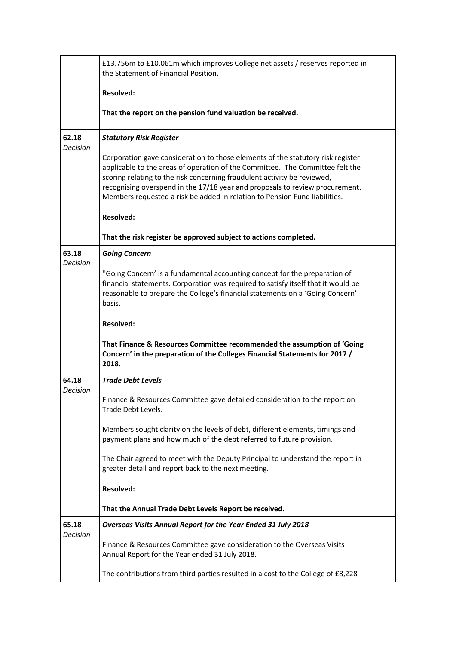|                          | £13.756m to £10.061m which improves College net assets / reserves reported in<br>the Statement of Financial Position.                                                                                                                                                                                                                                                                                      |  |
|--------------------------|------------------------------------------------------------------------------------------------------------------------------------------------------------------------------------------------------------------------------------------------------------------------------------------------------------------------------------------------------------------------------------------------------------|--|
|                          | <b>Resolved:</b>                                                                                                                                                                                                                                                                                                                                                                                           |  |
|                          | That the report on the pension fund valuation be received.                                                                                                                                                                                                                                                                                                                                                 |  |
| 62.18<br><b>Decision</b> | <b>Statutory Risk Register</b>                                                                                                                                                                                                                                                                                                                                                                             |  |
|                          | Corporation gave consideration to those elements of the statutory risk register<br>applicable to the areas of operation of the Committee. The Committee felt the<br>scoring relating to the risk concerning fraudulent activity be reviewed,<br>recognising overspend in the 17/18 year and proposals to review procurement.<br>Members requested a risk be added in relation to Pension Fund liabilities. |  |
|                          | <b>Resolved:</b>                                                                                                                                                                                                                                                                                                                                                                                           |  |
|                          | That the risk register be approved subject to actions completed.                                                                                                                                                                                                                                                                                                                                           |  |
| 63.18<br><b>Decision</b> | <b>Going Concern</b>                                                                                                                                                                                                                                                                                                                                                                                       |  |
|                          | "Going Concern' is a fundamental accounting concept for the preparation of<br>financial statements. Corporation was required to satisfy itself that it would be<br>reasonable to prepare the College's financial statements on a 'Going Concern'<br>basis.                                                                                                                                                 |  |
|                          | <b>Resolved:</b>                                                                                                                                                                                                                                                                                                                                                                                           |  |
|                          | That Finance & Resources Committee recommended the assumption of 'Going<br>Concern' in the preparation of the Colleges Financial Statements for 2017 /<br>2018.                                                                                                                                                                                                                                            |  |
| 64.18<br><b>Decision</b> | <b>Trade Debt Levels</b>                                                                                                                                                                                                                                                                                                                                                                                   |  |
|                          | Finance & Resources Committee gave detailed consideration to the report on<br>Trade Debt Levels.                                                                                                                                                                                                                                                                                                           |  |
|                          | Members sought clarity on the levels of debt, different elements, timings and<br>payment plans and how much of the debt referred to future provision.                                                                                                                                                                                                                                                      |  |
|                          | The Chair agreed to meet with the Deputy Principal to understand the report in<br>greater detail and report back to the next meeting.                                                                                                                                                                                                                                                                      |  |
|                          | <b>Resolved:</b>                                                                                                                                                                                                                                                                                                                                                                                           |  |
|                          | That the Annual Trade Debt Levels Report be received.                                                                                                                                                                                                                                                                                                                                                      |  |
| 65.18<br>Decision        | Overseas Visits Annual Report for the Year Ended 31 July 2018                                                                                                                                                                                                                                                                                                                                              |  |
|                          | Finance & Resources Committee gave consideration to the Overseas Visits<br>Annual Report for the Year ended 31 July 2018.                                                                                                                                                                                                                                                                                  |  |
|                          | The contributions from third parties resulted in a cost to the College of £8,228                                                                                                                                                                                                                                                                                                                           |  |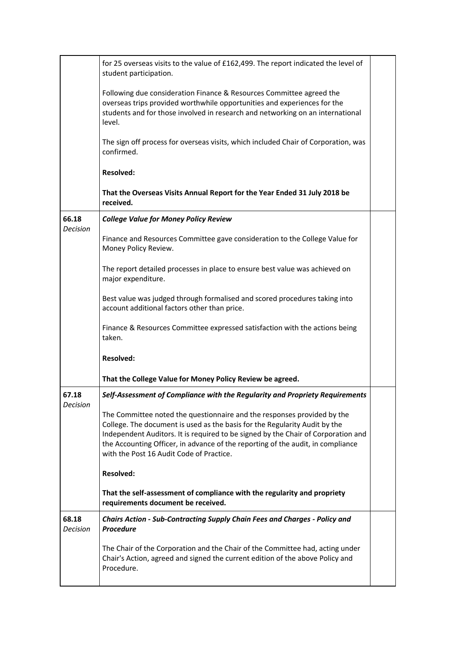|                          | for 25 overseas visits to the value of £162,499. The report indicated the level of<br>student participation.                                                                                                                                                                                                                                                              |  |
|--------------------------|---------------------------------------------------------------------------------------------------------------------------------------------------------------------------------------------------------------------------------------------------------------------------------------------------------------------------------------------------------------------------|--|
|                          | Following due consideration Finance & Resources Committee agreed the<br>overseas trips provided worthwhile opportunities and experiences for the<br>students and for those involved in research and networking on an international<br>level.                                                                                                                              |  |
|                          | The sign off process for overseas visits, which included Chair of Corporation, was<br>confirmed.                                                                                                                                                                                                                                                                          |  |
|                          | <b>Resolved:</b>                                                                                                                                                                                                                                                                                                                                                          |  |
|                          | That the Overseas Visits Annual Report for the Year Ended 31 July 2018 be<br>received.                                                                                                                                                                                                                                                                                    |  |
| 66.18<br><b>Decision</b> | <b>College Value for Money Policy Review</b>                                                                                                                                                                                                                                                                                                                              |  |
|                          | Finance and Resources Committee gave consideration to the College Value for<br>Money Policy Review.                                                                                                                                                                                                                                                                       |  |
|                          | The report detailed processes in place to ensure best value was achieved on<br>major expenditure.                                                                                                                                                                                                                                                                         |  |
|                          | Best value was judged through formalised and scored procedures taking into<br>account additional factors other than price.                                                                                                                                                                                                                                                |  |
|                          | Finance & Resources Committee expressed satisfaction with the actions being<br>taken.                                                                                                                                                                                                                                                                                     |  |
|                          | <b>Resolved:</b>                                                                                                                                                                                                                                                                                                                                                          |  |
|                          | That the College Value for Money Policy Review be agreed.                                                                                                                                                                                                                                                                                                                 |  |
| 67.18<br>Decision        | Self-Assessment of Compliance with the Regularity and Propriety Reguirements                                                                                                                                                                                                                                                                                              |  |
|                          | The Committee noted the questionnaire and the responses provided by the<br>College. The document is used as the basis for the Regularity Audit by the<br>Independent Auditors. It is required to be signed by the Chair of Corporation and<br>the Accounting Officer, in advance of the reporting of the audit, in compliance<br>with the Post 16 Audit Code of Practice. |  |
|                          | <b>Resolved:</b>                                                                                                                                                                                                                                                                                                                                                          |  |
|                          | That the self-assessment of compliance with the regularity and propriety<br>requirements document be received.                                                                                                                                                                                                                                                            |  |
| 68.18<br>Decision        | Chairs Action - Sub-Contracting Supply Chain Fees and Charges - Policy and<br><b>Procedure</b>                                                                                                                                                                                                                                                                            |  |
|                          | The Chair of the Corporation and the Chair of the Committee had, acting under<br>Chair's Action, agreed and signed the current edition of the above Policy and<br>Procedure.                                                                                                                                                                                              |  |
|                          |                                                                                                                                                                                                                                                                                                                                                                           |  |